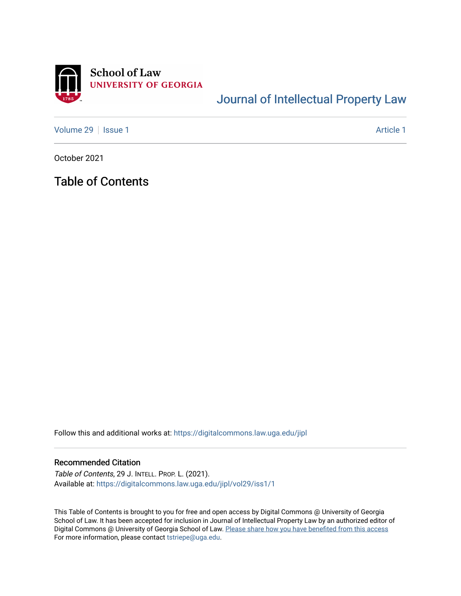

## [Journal of Intellectual Property Law](https://digitalcommons.law.uga.edu/jipl)

[Volume 29](https://digitalcommons.law.uga.edu/jipl/vol29) | [Issue 1](https://digitalcommons.law.uga.edu/jipl/vol29/iss1) Article 1

October 2021

Table of Contents

Follow this and additional works at: [https://digitalcommons.law.uga.edu/jipl](https://digitalcommons.law.uga.edu/jipl?utm_source=digitalcommons.law.uga.edu%2Fjipl%2Fvol29%2Fiss1%2F1&utm_medium=PDF&utm_campaign=PDFCoverPages) 

## Recommended Citation

Table of Contents, 29 J. INTELL. PROP. L. (2021). Available at: [https://digitalcommons.law.uga.edu/jipl/vol29/iss1/1](https://digitalcommons.law.uga.edu/jipl/vol29/iss1/1?utm_source=digitalcommons.law.uga.edu%2Fjipl%2Fvol29%2Fiss1%2F1&utm_medium=PDF&utm_campaign=PDFCoverPages) 

This Table of Contents is brought to you for free and open access by Digital Commons @ University of Georgia School of Law. It has been accepted for inclusion in Journal of Intellectual Property Law by an authorized editor of Digital Commons @ University of Georgia School of Law. Please share how you have benefited from this access For more information, please contact [tstriepe@uga.edu](mailto:tstriepe@uga.edu).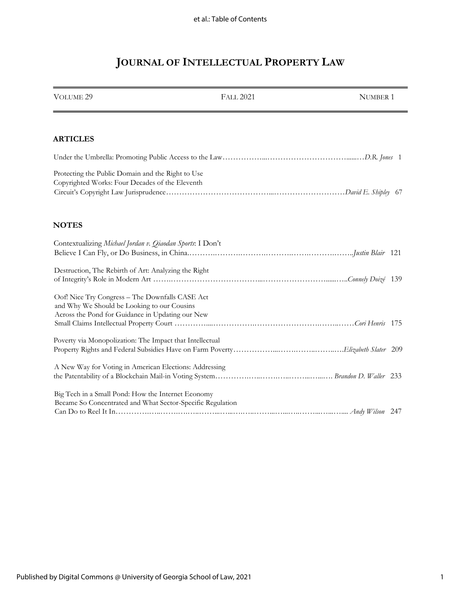# **JOURNAL OF INTELLECTUAL PROPERTY LAW**

| <b>VOLUME 29</b>                                                                                                                                   | <b>FALL 2021</b> | NUMBER 1 |
|----------------------------------------------------------------------------------------------------------------------------------------------------|------------------|----------|
|                                                                                                                                                    |                  |          |
| <b>ARTICLES</b>                                                                                                                                    |                  |          |
|                                                                                                                                                    |                  |          |
| Protecting the Public Domain and the Right to Use<br>Copyrighted Works: Four Decades of the Eleventh                                               |                  |          |
| <b>NOTES</b>                                                                                                                                       |                  |          |
| Contextualizing Michael Jordan v. Qiaodan Sports: I Don't                                                                                          |                  |          |
| Destruction, The Rebirth of Art: Analyzing the Right                                                                                               |                  |          |
| Oof! Nice Try Congress - The Downfalls CASE Act<br>and Why We Should be Looking to our Cousins<br>Across the Pond for Guidance in Updating our New |                  |          |
| Poverty via Monopolization: The Impact that Intellectual                                                                                           |                  |          |
| A New Way for Voting in American Elections: Addressing                                                                                             |                  |          |
| Big Tech in a Small Pond: How the Internet Economy<br>Became So Concentrated and What Sector-Specific Regulation                                   |                  |          |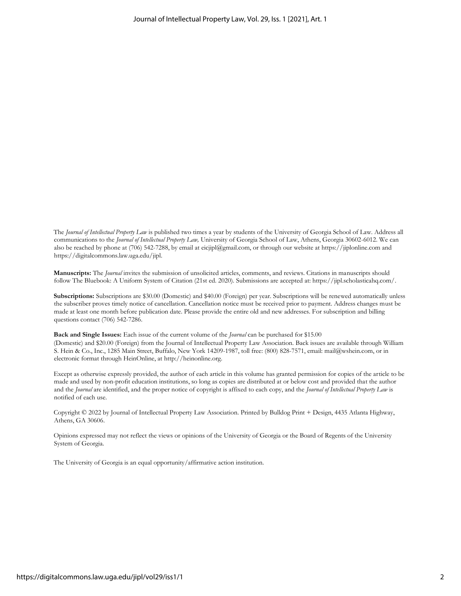The *Journal of Intellectual Property Law* is published two times a year by students of the University of Georgia School of Law. Address all communications to the *Journal of Intellectual Property Law,* University of Georgia School of Law, Athens, Georgia 30602-6012. We can also be reached by phone at (706) 542-7288, by email at eicjipl@gmail.com, or through our website at https://jiplonline.com and https://digitalcommons.law.uga.edu/jipl.

**Manuscripts:** The *Journal* invites the submission of unsolicited articles, comments, and reviews. Citations in manuscripts should follow The Bluebook: A Uniform System of Citation (21st ed. 2020). Submissions are accepted at: https://jipl.scholasticahq.com/.

**Subscriptions:** Subscriptions are \$30.00 (Domestic) and \$40.00 (Foreign) per year. Subscriptions will be renewed automatically unless the subscriber proves timely notice of cancellation. Cancellation notice must be received prior to payment. Address changes must be made at least one month before publication date. Please provide the entire old and new addresses. For subscription and billing questions contact (706) 542-7286.

**Back and Single Issues:** Each issue of the current volume of the *Journal* can be purchased for \$15.00 (Domestic) and \$20.00 (Foreign) from the Journal of Intellectual Property Law Association. Back issues are available through William S. Hein & Co., Inc., 1285 Main Street, Buffalo, New York 14209-1987, toll free: (800) 828-7571, email: mail@wshein.com, or in electronic format through HeinOnline, at http://heinonline.org.

Except as otherwise expressly provided, the author of each article in this volume has granted permission for copies of the article to be made and used by non-profit education institutions, so long as copies are distributed at or below cost and provided that the author and the *Journal* are identified, and the proper notice of copyright is affixed to each copy, and the *Journal of Intellectual Property Law* is notified of each use.

Copyright © 2022 by Journal of Intellectual Property Law Association. Printed by Bulldog Print + Design, 4435 Atlanta Highway, Athens, GA 30606.

Opinions expressed may not reflect the views or opinions of the University of Georgia or the Board of Regents of the University System of Georgia.

The University of Georgia is an equal opportunity/affirmative action institution.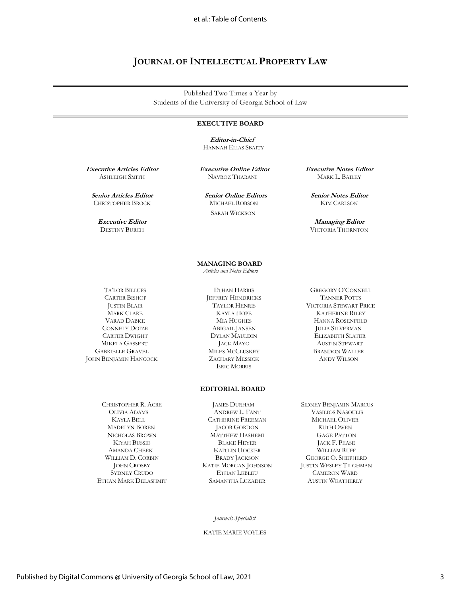## **JOURNAL OF INTELLECTUAL PROPERTY LAW**

Published Two Times a Year by Students of the University of Georgia School of Law

### **EXECUTIVE BOARD**

 **Editor-in-Chief** HANNAH ELIAS SBAITY

**Executive Articles Editor** ASHLEIGH SMITH

**Senior Articles Editor** CHRISTOPHER BROCK

> **Executive Editor** DESTINY BURCH

**Executive Online Editor** NAVROZ THARANI

 **Senior Online Editors** MICHAEL ROBSON SARAH WICKSON

**Executive Notes Editor** MARK L. BAILEY

**Senior Notes Editor** KIM CARLSON

**Managing Editor**  VICTORIA THORNTON

 TA'LOR BILLUPS CARTER BISHOP JUSTIN BLAIR MARK CLARE VARAD DABKE CONNELY DOIZE CARTER DWIGHT MIKELA GASSERT GABRIELLE GRAVEL JOHN BENJAMIN HANCOCK

> CHRISTOPHER R. ACRE OLIVIA ADAMS KAYLA BELL MADELYN BOREN NICHOLAS BROWN KIYAH BUSSIE AMANDA CHEEK WILLIAM D. CORBIN JOHN CROSBY SYDNEY CRUDO ETHAN MARK DELASHMIT

 **MANAGING BOARD**  *Articles and Notes Editors*

> ETHAN HARRIS JEFFREY HENDRICKS TAYLOR HENRIS KAYLA HOPE MIA HUGHES ABIGAIL JANSEN DYLAN MAULDIN JACK MAYO MILES MCCLUSKEY ZACHARY MESSICK ERIC MORRIS

### **EDITORIAL BOARD**

JAMES DURHAM ANDREW L. FANT CATHERINE FREEMAN JACOB GORDON MATTHEW HASHEMI BLAKE HEYER KAITLIN HOCKER BRADY JACKSON KATIE MORGAN JOHNSON ETHAN LEBLEU SAMANTHA LUZADER

GREGORY O'CONNELL TANNER POTTS VICTORIA STEWART PRICE KATHERINE RILEY HANNA ROSENFELD JULIA SILVERMAN ELIZABETH SLATER AUSTIN STEWART BRANDON WALLER ANDY WILSON

 SIDNEY BENJAMIN MARCUS VASILIOS NASOULIS MICHAEL OLIVER RUTH OWEN GAGE PATTON JACK F. PEASE WILLIAM RUFF GEORGE O. SHEPHERD JUSTIN WESLEY TILGHMAN CAMERON WARD AUSTIN WEATHERLY

#### *Journals Specialist*

KATIE MARIE VOYLES